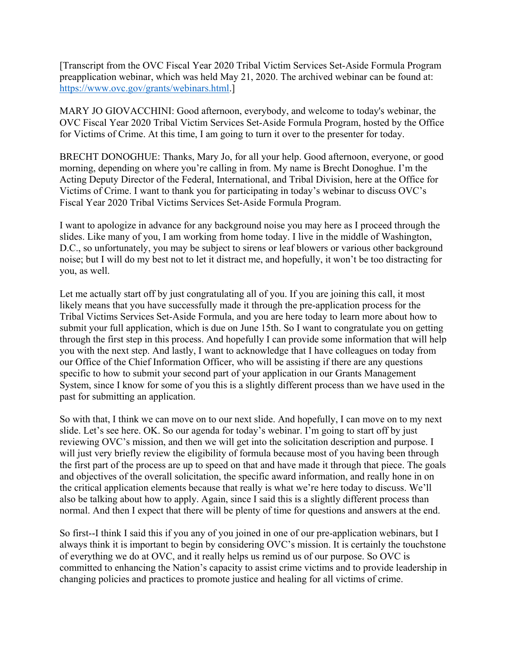[Transcript from the OVC Fiscal Year 2020 Tribal Victim Services Set-Aside Formula Program preapplication webinar, which was held May 21, 2020. The archived webinar can be found at: https://www.ovc.gov/grants/webinars.html.]

MARY JO GIOVACCHINI: Good afternoon, everybody, and welcome to today's webinar, the OVC Fiscal Year 2020 Tribal Victim Services Set-Aside Formula Program, hosted by the Office for Victims of Crime. At this time, I am going to turn it over to the presenter for today.

BRECHT DONOGHUE: Thanks, Mary Jo, for all your help. Good afternoon, everyone, or good morning, depending on where you're calling in from. My name is Brecht Donoghue. I'm the Acting Deputy Director of the Federal, International, and Tribal Division, here at the Office for Victims of Crime. I want to thank you for participating in today's webinar to discuss OVC's Fiscal Year 2020 Tribal Victims Services Set-Aside Formula Program.

I want to apologize in advance for any background noise you may here as I proceed through the slides. Like many of you, I am working from home today. I live in the middle of Washington, D.C., so unfortunately, you may be subject to sirens or leaf blowers or various other background noise; but I will do my best not to let it distract me, and hopefully, it won't be too distracting for you, as well.

Let me actually start off by just congratulating all of you. If you are joining this call, it most likely means that you have successfully made it through the pre-application process for the Tribal Victims Services Set-Aside Formula, and you are here today to learn more about how to submit your full application, which is due on June 15th. So I want to congratulate you on getting through the first step in this process. And hopefully I can provide some information that will help you with the next step. And lastly, I want to acknowledge that I have colleagues on today from our Office of the Chief Information Officer, who will be assisting if there are any questions specific to how to submit your second part of your application in our Grants Management System, since I know for some of you this is a slightly different process than we have used in the past for submitting an application.

So with that, I think we can move on to our next slide. And hopefully, I can move on to my next slide. Let's see here. OK. So our agenda for today's webinar. I'm going to start off by just reviewing OVC's mission, and then we will get into the solicitation description and purpose. I will just very briefly review the eligibility of formula because most of you having been through the first part of the process are up to speed on that and have made it through that piece. The goals and objectives of the overall solicitation, the specific award information, and really hone in on the critical application elements because that really is what we're here today to discuss. We'll also be talking about how to apply. Again, since I said this is a slightly different process than normal. And then I expect that there will be plenty of time for questions and answers at the end.

So first--I think I said this if you any of you joined in one of our pre-application webinars, but I always think it is important to begin by considering OVC's mission. It is certainly the touchstone of everything we do at OVC, and it really helps us remind us of our purpose. So OVC is committed to enhancing the Nation's capacity to assist crime victims and to provide leadership in changing policies and practices to promote justice and healing for all victims of crime.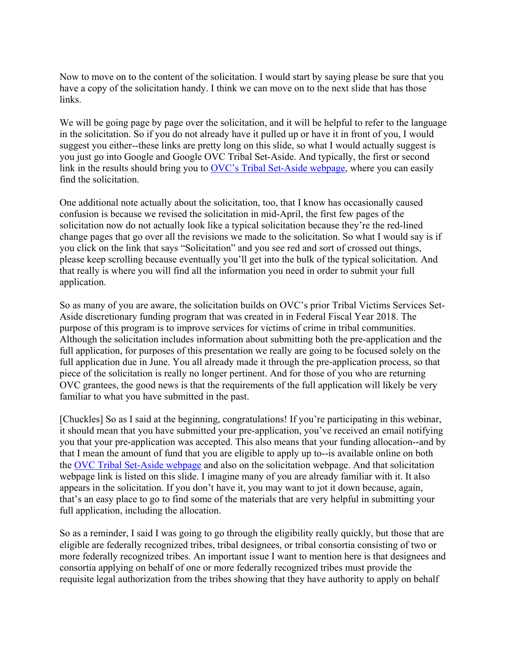Now to move on to the content of the solicitation. I would start by saying please be sure that you have a copy of the solicitation handy. I think we can move on to the next slide that has those links.

We will be going page by page over the solicitation, and it will be helpful to refer to the language in the solicitation. So if you do not already have it pulled up or have it in front of you, I would suggest you either--these links are pretty long on this slide, so what I would actually suggest is you just go into Google and Google OVC Tribal Set-Aside. And typically, the first or second link in the results should bring you to [OVC's Tribal Set-Aside webpage,](https://www.ovc.gov/grants/pdftxt/fy-2020-tribal-vssa-formula-solicitation.pdf) where you can easily find the solicitation.

One additional note actually about the solicitation, too, that I know has occasionally caused confusion is because we revised the solicitation in mid-April, the first few pages of the solicitation now do not actually look like a typical solicitation because they're the red-lined change pages that go over all the revisions we made to the solicitation. So what I would say is if you click on the link that says "Solicitation" and you see red and sort of crossed out things, please keep scrolling because eventually you'll get into the bulk of the typical solicitation. And that really is where you will find all the information you need in order to submit your full application.

So as many of you are aware, the solicitation builds on OVC's prior Tribal Victims Services Set-Aside discretionary funding program that was created in in Federal Fiscal Year 2018. The purpose of this program is to improve services for victims of crime in tribal communities. Although the solicitation includes information about submitting both the pre-application and the full application, for purposes of this presentation we really are going to be focused solely on the full application due in June. You all already made it through the pre-application process, so that piece of the solicitation is really no longer pertinent. And for those of you who are returning OVC grantees, the good news is that the requirements of the full application will likely be very familiar to what you have submitted in the past.

[Chuckles] So as I said at the beginning, congratulations! If you're participating in this webinar, it should mean that you have submitted your pre-application, you've received an email notifying you that your pre-application was accepted. This also means that your funding allocation--and by that I mean the amount of fund that you are eligible to apply up to--is available online on both the [OVC Tribal Set-Aside webpage](https://grants.ojp.usdoj.gov/TVSSA) and also on the solicitation webpage. And that solicitation webpage link is listed on this slide. I imagine many of you are already familiar with it. It also appears in the solicitation. If you don't have it, you may want to jot it down because, again, that's an easy place to go to find some of the materials that are very helpful in submitting your full application, including the allocation.

So as a reminder, I said I was going to go through the eligibility really quickly, but those that are eligible are federally recognized tribes, tribal designees, or tribal consortia consisting of two or more federally recognized tribes. An important issue I want to mention here is that designees and consortia applying on behalf of one or more federally recognized tribes must provide the requisite legal authorization from the tribes showing that they have authority to apply on behalf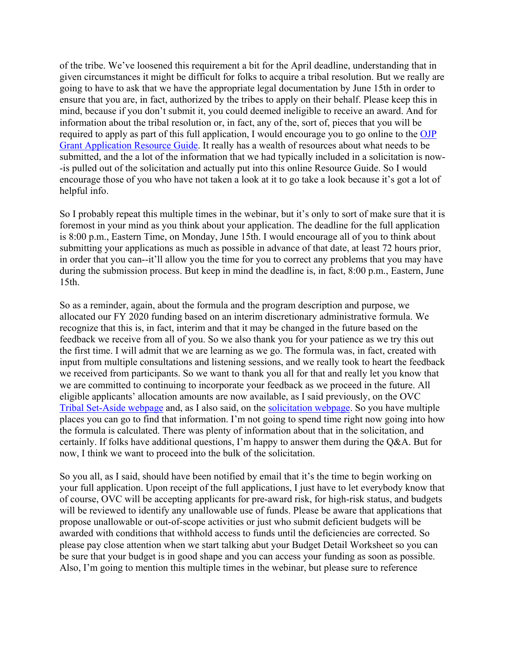of the tribe. We've loosened this requirement a bit for the April deadline, understanding that in given circumstances it might be difficult for folks to acquire a tribal resolution. But we really are going to have to ask that we have the appropriate legal documentation by June 15th in order to ensure that you are, in fact, authorized by the tribes to apply on their behalf. Please keep this in mind, because if you don't submit it, you could deemed ineligible to receive an award. And for information about the tribal resolution or, in fact, any of the, sort of, pieces that you will be required to apply as part of this full application, I would encourage you to go online to the [OJP](https://www.ojp.gov/funding/Apply/Resources/Grant-App-Resource-Guide.htm)  [Grant Application Resource Guide.](https://www.ojp.gov/funding/Apply/Resources/Grant-App-Resource-Guide.htm) It really has a wealth of resources about what needs to be submitted, and the a lot of the information that we had typically included in a solicitation is now- -is pulled out of the solicitation and actually put into this online Resource Guide. So I would encourage those of you who have not taken a look at it to go take a look because it's got a lot of helpful info.

So I probably repeat this multiple times in the webinar, but it's only to sort of make sure that it is foremost in your mind as you think about your application. The deadline for the full application is 8:00 p.m., Eastern Time, on Monday, June 15th. I would encourage all of you to think about submitting your applications as much as possible in advance of that date, at least 72 hours prior, in order that you can--it'll allow you the time for you to correct any problems that you may have during the submission process. But keep in mind the deadline is, in fact, 8:00 p.m., Eastern, June 15th.

So as a reminder, again, about the formula and the program description and purpose, we allocated our FY 2020 funding based on an interim discretionary administrative formula. We recognize that this is, in fact, interim and that it may be changed in the future based on the feedback we receive from all of you. So we also thank you for your patience as we try this out the first time. I will admit that we are learning as we go. The formula was, in fact, created with input from multiple consultations and listening sessions, and we really took to heart the feedback we received from participants. So we want to thank you all for that and really let you know that we are committed to continuing to incorporate your feedback as we proceed in the future. All eligible applicants' allocation amounts are now available, as I said previously, on the OVC [Tribal Set-Aside webpage](https://grants.ojp.usdoj.gov/TVSSA) and, as I also said, on the [solicitation webpage.](https://www.ovc.gov/grants/pdftxt/fy-2020-tribal-vssa-formula-solicitation.pdf) So you have multiple places you can go to find that information. I'm not going to spend time right now going into how the formula is calculated. There was plenty of information about that in the solicitation, and certainly. If folks have additional questions, I'm happy to answer them during the Q&A. But for now, I think we want to proceed into the bulk of the solicitation.

So you all, as I said, should have been notified by email that it's the time to begin working on your full application. Upon receipt of the full applications, I just have to let everybody know that of course, OVC will be accepting applicants for pre-award risk, for high-risk status, and budgets will be reviewed to identify any unallowable use of funds. Please be aware that applications that propose unallowable or out-of-scope activities or just who submit deficient budgets will be awarded with conditions that withhold access to funds until the deficiencies are corrected. So please pay close attention when we start talking abut your Budget Detail Worksheet so you can be sure that your budget is in good shape and you can access your funding as soon as possible. Also, I'm going to mention this multiple times in the webinar, but please sure to reference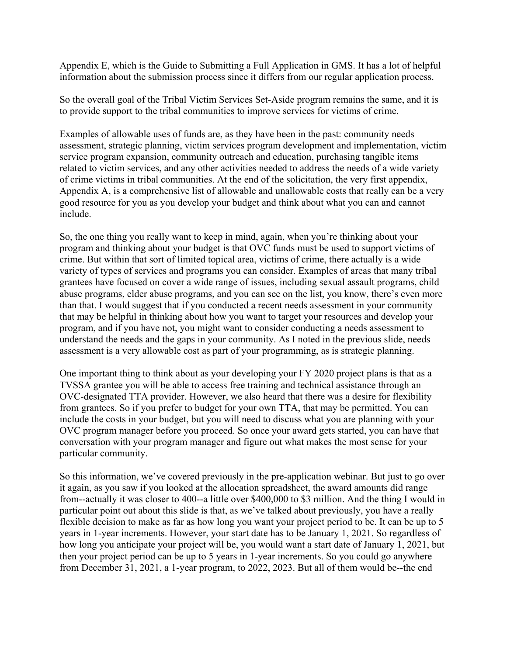Appendix E, which is the Guide to Submitting a Full Application in GMS. It has a lot of helpful information about the submission process since it differs from our regular application process.

So the overall goal of the Tribal Victim Services Set-Aside program remains the same, and it is to provide support to the tribal communities to improve services for victims of crime.

Examples of allowable uses of funds are, as they have been in the past: community needs assessment, strategic planning, victim services program development and implementation, victim service program expansion, community outreach and education, purchasing tangible items related to victim services, and any other activities needed to address the needs of a wide variety of crime victims in tribal communities. At the end of the solicitation, the very first appendix, Appendix A, is a comprehensive list of allowable and unallowable costs that really can be a very good resource for you as you develop your budget and think about what you can and cannot include.

So, the one thing you really want to keep in mind, again, when you're thinking about your program and thinking about your budget is that OVC funds must be used to support victims of crime. But within that sort of limited topical area, victims of crime, there actually is a wide variety of types of services and programs you can consider. Examples of areas that many tribal grantees have focused on cover a wide range of issues, including sexual assault programs, child abuse programs, elder abuse programs, and you can see on the list, you know, there's even more than that. I would suggest that if you conducted a recent needs assessment in your community that may be helpful in thinking about how you want to target your resources and develop your program, and if you have not, you might want to consider conducting a needs assessment to understand the needs and the gaps in your community. As I noted in the previous slide, needs assessment is a very allowable cost as part of your programming, as is strategic planning.

One important thing to think about as your developing your FY 2020 project plans is that as a TVSSA grantee you will be able to access free training and technical assistance through an OVC-designated TTA provider. However, we also heard that there was a desire for flexibility from grantees. So if you prefer to budget for your own TTA, that may be permitted. You can include the costs in your budget, but you will need to discuss what you are planning with your OVC program manager before you proceed. So once your award gets started, you can have that conversation with your program manager and figure out what makes the most sense for your particular community.

So this information, we've covered previously in the pre-application webinar. But just to go over it again, as you saw if you looked at the allocation spreadsheet, the award amounts did range from--actually it was closer to 400--a little over \$400,000 to \$3 million. And the thing I would in particular point out about this slide is that, as we've talked about previously, you have a really flexible decision to make as far as how long you want your project period to be. It can be up to 5 years in 1-year increments. However, your start date has to be January 1, 2021. So regardless of how long you anticipate your project will be, you would want a start date of January 1, 2021, but then your project period can be up to 5 years in 1-year increments. So you could go anywhere from December 31, 2021, a 1-year program, to 2022, 2023. But all of them would be--the end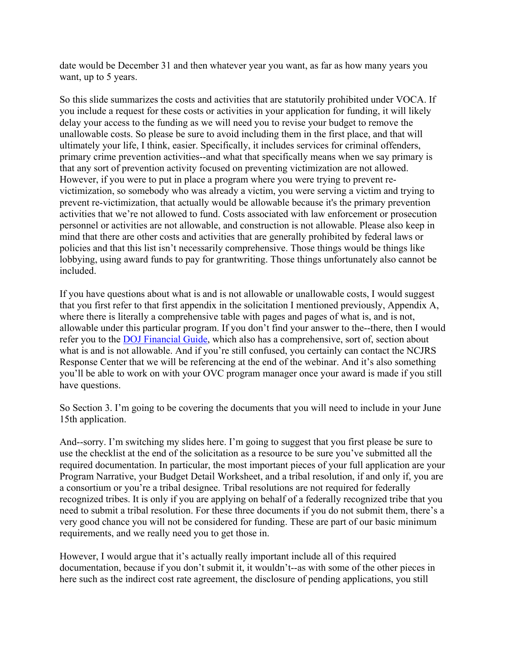date would be December 31 and then whatever year you want, as far as how many years you want, up to 5 years.

So this slide summarizes the costs and activities that are statutorily prohibited under VOCA. If you include a request for these costs or activities in your application for funding, it will likely delay your access to the funding as we will need you to revise your budget to remove the unallowable costs. So please be sure to avoid including them in the first place, and that will ultimately your life, I think, easier. Specifically, it includes services for criminal offenders, primary crime prevention activities--and what that specifically means when we say primary is that any sort of prevention activity focused on preventing victimization are not allowed. However, if you were to put in place a program where you were trying to prevent revictimization, so somebody who was already a victim, you were serving a victim and trying to prevent re-victimization, that actually would be allowable because it's the primary prevention activities that we're not allowed to fund. Costs associated with law enforcement or prosecution personnel or activities are not allowable, and construction is not allowable. Please also keep in mind that there are other costs and activities that are generally prohibited by federal laws or policies and that this list isn't necessarily comprehensive. Those things would be things like lobbying, using award funds to pay for grantwriting. Those things unfortunately also cannot be included.

If you have questions about what is and is not allowable or unallowable costs, I would suggest that you first refer to that first appendix in the solicitation I mentioned previously, Appendix A, where there is literally a comprehensive table with pages and pages of what is, and is not, allowable under this particular program. If you don't find your answer to the--there, then I would refer you to the [DOJ Financial Guide,](https://www.ojp.gov/funding/financialguidedoj/overview) which also has a comprehensive, sort of, section about what is and is not allowable. And if you're still confused, you certainly can contact the NCJRS Response Center that we will be referencing at the end of the webinar. And it's also something you'll be able to work on with your OVC program manager once your award is made if you still have questions.

So Section 3. I'm going to be covering the documents that you will need to include in your June 15th application.

And--sorry. I'm switching my slides here. I'm going to suggest that you first please be sure to use the checklist at the end of the solicitation as a resource to be sure you've submitted all the required documentation. In particular, the most important pieces of your full application are your Program Narrative, your Budget Detail Worksheet, and a tribal resolution, if and only if, you are a consortium or you're a tribal designee. Tribal resolutions are not required for federally recognized tribes. It is only if you are applying on behalf of a federally recognized tribe that you need to submit a tribal resolution. For these three documents if you do not submit them, there's a very good chance you will not be considered for funding. These are part of our basic minimum requirements, and we really need you to get those in.

However, I would argue that it's actually really important include all of this required documentation, because if you don't submit it, it wouldn't--as with some of the other pieces in here such as the indirect cost rate agreement, the disclosure of pending applications, you still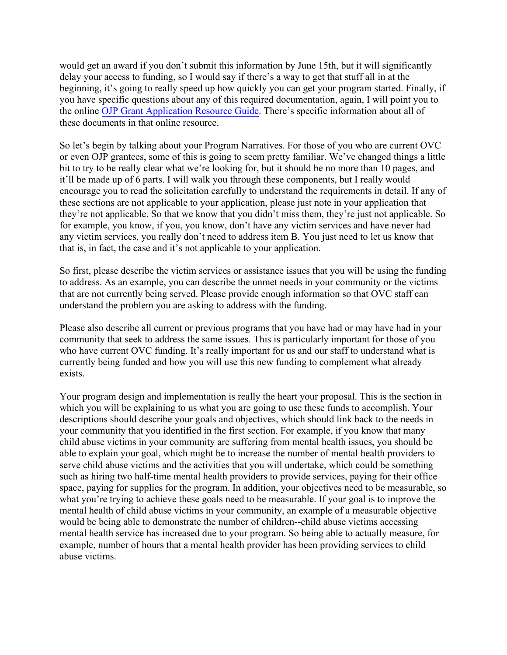would get an award if you don't submit this information by June 15th, but it will significantly delay your access to funding, so I would say if there's a way to get that stuff all in at the beginning, it's going to really speed up how quickly you can get your program started. Finally, if you have specific questions about any of this required documentation, again, I will point you to the online [OJP Grant Application Resource Guide.](https://www.ojp.gov/funding/Apply/Resources/Grant-App-Resource-Guide.htm) There's specific information about all of these documents in that online resource.

So let's begin by talking about your Program Narratives. For those of you who are current OVC or even OJP grantees, some of this is going to seem pretty familiar. We've changed things a little bit to try to be really clear what we're looking for, but it should be no more than 10 pages, and it'll be made up of 6 parts. I will walk you through these components, but I really would encourage you to read the solicitation carefully to understand the requirements in detail. If any of these sections are not applicable to your application, please just note in your application that they're not applicable. So that we know that you didn't miss them, they're just not applicable. So for example, you know, if you, you know, don't have any victim services and have never had any victim services, you really don't need to address item B. You just need to let us know that that is, in fact, the case and it's not applicable to your application.

So first, please describe the victim services or assistance issues that you will be using the funding to address. As an example, you can describe the unmet needs in your community or the victims that are not currently being served. Please provide enough information so that OVC staff can understand the problem you are asking to address with the funding.

Please also describe all current or previous programs that you have had or may have had in your community that seek to address the same issues. This is particularly important for those of you who have current OVC funding. It's really important for us and our staff to understand what is currently being funded and how you will use this new funding to complement what already exists.

Your program design and implementation is really the heart your proposal. This is the section in which you will be explaining to us what you are going to use these funds to accomplish. Your descriptions should describe your goals and objectives, which should link back to the needs in your community that you identified in the first section. For example, if you know that many child abuse victims in your community are suffering from mental health issues, you should be able to explain your goal, which might be to increase the number of mental health providers to serve child abuse victims and the activities that you will undertake, which could be something such as hiring two half-time mental health providers to provide services, paying for their office space, paying for supplies for the program. In addition, your objectives need to be measurable, so what you're trying to achieve these goals need to be measurable. If your goal is to improve the mental health of child abuse victims in your community, an example of a measurable objective would be being able to demonstrate the number of children--child abuse victims accessing mental health service has increased due to your program. So being able to actually measure, for example, number of hours that a mental health provider has been providing services to child abuse victims.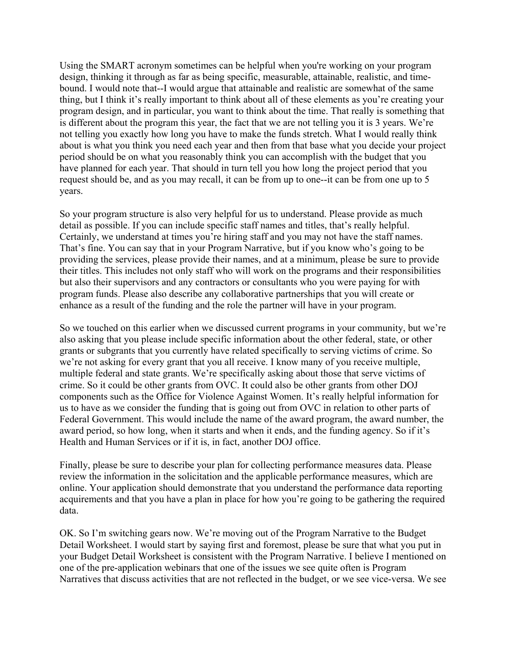Using the SMART acronym sometimes can be helpful when you're working on your program design, thinking it through as far as being specific, measurable, attainable, realistic, and timebound. I would note that--I would argue that attainable and realistic are somewhat of the same thing, but I think it's really important to think about all of these elements as you're creating your program design, and in particular, you want to think about the time. That really is something that is different about the program this year, the fact that we are not telling you it is 3 years. We're not telling you exactly how long you have to make the funds stretch. What I would really think about is what you think you need each year and then from that base what you decide your project period should be on what you reasonably think you can accomplish with the budget that you have planned for each year. That should in turn tell you how long the project period that you request should be, and as you may recall, it can be from up to one--it can be from one up to 5 years.

So your program structure is also very helpful for us to understand. Please provide as much detail as possible. If you can include specific staff names and titles, that's really helpful. Certainly, we understand at times you're hiring staff and you may not have the staff names. That's fine. You can say that in your Program Narrative, but if you know who's going to be providing the services, please provide their names, and at a minimum, please be sure to provide their titles. This includes not only staff who will work on the programs and their responsibilities but also their supervisors and any contractors or consultants who you were paying for with program funds. Please also describe any collaborative partnerships that you will create or enhance as a result of the funding and the role the partner will have in your program.

So we touched on this earlier when we discussed current programs in your community, but we're also asking that you please include specific information about the other federal, state, or other grants or subgrants that you currently have related specifically to serving victims of crime. So we're not asking for every grant that you all receive. I know many of you receive multiple, multiple federal and state grants. We're specifically asking about those that serve victims of crime. So it could be other grants from OVC. It could also be other grants from other DOJ components such as the Office for Violence Against Women. It's really helpful information for us to have as we consider the funding that is going out from OVC in relation to other parts of Federal Government. This would include the name of the award program, the award number, the award period, so how long, when it starts and when it ends, and the funding agency. So if it's Health and Human Services or if it is, in fact, another DOJ office.

Finally, please be sure to describe your plan for collecting performance measures data. Please review the information in the solicitation and the applicable performance measures, which are online. Your application should demonstrate that you understand the performance data reporting acquirements and that you have a plan in place for how you're going to be gathering the required data.

OK. So I'm switching gears now. We're moving out of the Program Narrative to the Budget Detail Worksheet. I would start by saying first and foremost, please be sure that what you put in your Budget Detail Worksheet is consistent with the Program Narrative. I believe I mentioned on one of the pre-application webinars that one of the issues we see quite often is Program Narratives that discuss activities that are not reflected in the budget, or we see vice-versa. We see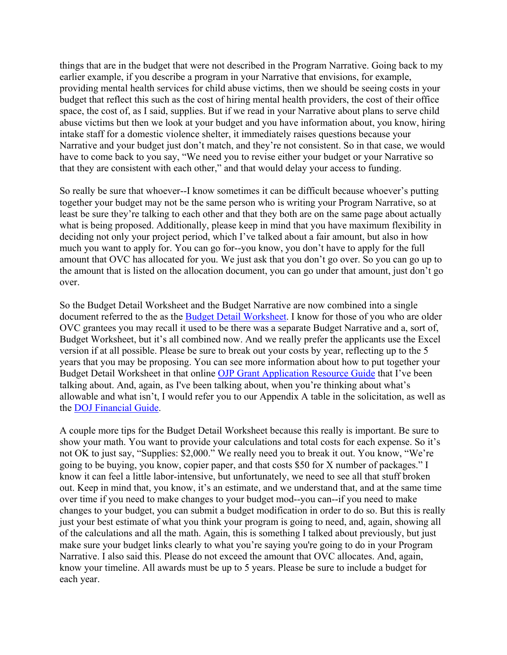things that are in the budget that were not described in the Program Narrative. Going back to my earlier example, if you describe a program in your Narrative that envisions, for example, providing mental health services for child abuse victims, then we should be seeing costs in your budget that reflect this such as the cost of hiring mental health providers, the cost of their office space, the cost of, as I said, supplies. But if we read in your Narrative about plans to serve child abuse victims but then we look at your budget and you have information about, you know, hiring intake staff for a domestic violence shelter, it immediately raises questions because your Narrative and your budget just don't match, and they're not consistent. So in that case, we would have to come back to you say, "We need you to revise either your budget or your Narrative so that they are consistent with each other," and that would delay your access to funding.

So really be sure that whoever--I know sometimes it can be difficult because whoever's putting together your budget may not be the same person who is writing your Program Narrative, so at least be sure they're talking to each other and that they both are on the same page about actually what is being proposed. Additionally, please keep in mind that you have maximum flexibility in deciding not only your project period, which I've talked about a fair amount, but also in how much you want to apply for. You can go for--you know, you don't have to apply for the full amount that OVC has allocated for you. We just ask that you don't go over. So you can go up to the amount that is listed on the allocation document, you can go under that amount, just don't go over.

So the Budget Detail Worksheet and the Budget Narrative are now combined into a single document referred to the as the [Budget Detail Worksheet.](https://ojp.gov/funding/Apply/Forms/BudgetDetailWorksheet.htm) I know for those of you who are older OVC grantees you may recall it used to be there was a separate Budget Narrative and a, sort of, Budget Worksheet, but it's all combined now. And we really prefer the applicants use the Excel version if at all possible. Please be sure to break out your costs by year, reflecting up to the 5 years that you may be proposing. You can see more information about how to put together your Budget Detail Worksheet in that online [OJP Grant Application Resource Guide](https://www.ojp.gov/funding/Apply/Resources/Grant-App-Resource-Guide.htm#budgetInfo) that I've been talking about. And, again, as I've been talking about, when you're thinking about what's allowable and what isn't, I would refer you to our Appendix A table in the solicitation, as well as the [DOJ Financial Guide.](https://www.ojp.gov/funding/financialguidedoj/overview)

A couple more tips for the Budget Detail Worksheet because this really is important. Be sure to show your math. You want to provide your calculations and total costs for each expense. So it's not OK to just say, "Supplies: \$2,000." We really need you to break it out. You know, "We're going to be buying, you know, copier paper, and that costs \$50 for X number of packages." I know it can feel a little labor-intensive, but unfortunately, we need to see all that stuff broken out. Keep in mind that, you know, it's an estimate, and we understand that, and at the same time over time if you need to make changes to your budget mod--you can--if you need to make changes to your budget, you can submit a budget modification in order to do so. But this is really just your best estimate of what you think your program is going to need, and, again, showing all of the calculations and all the math. Again, this is something I talked about previously, but just make sure your budget links clearly to what you're saying you're going to do in your Program Narrative. I also said this. Please do not exceed the amount that OVC allocates. And, again, know your timeline. All awards must be up to 5 years. Please be sure to include a budget for each year.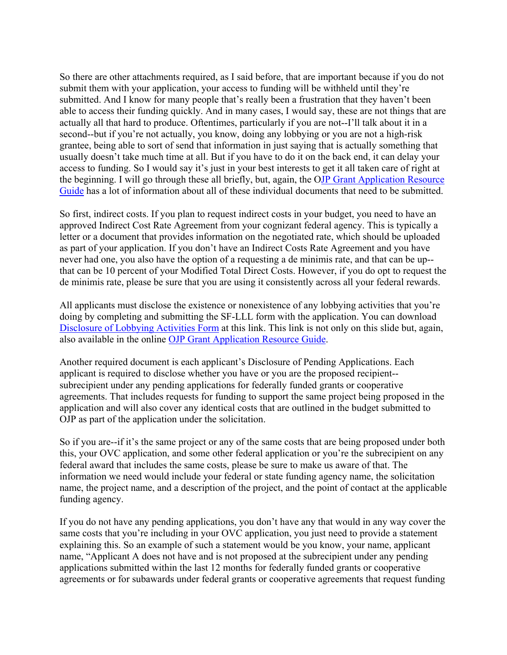So there are other attachments required, as I said before, that are important because if you do not submit them with your application, your access to funding will be withheld until they're submitted. And I know for many people that's really been a frustration that they haven't been able to access their funding quickly. And in many cases, I would say, these are not things that are actually all that hard to produce. Oftentimes, particularly if you are not--I'll talk about it in a second--but if you're not actually, you know, doing any lobbying or you are not a high-risk grantee, being able to sort of send that information in just saying that is actually something that usually doesn't take much time at all. But if you have to do it on the back end, it can delay your access to funding. So I would say it's just in your best interests to get it all taken care of right at the beginning. I will go through these all briefly, but, again, the [OJP Grant Application Resource](https://www.ojp.gov/funding/Apply/Resources/Grant-App-Resource-Guide.htm)  [Guide](https://www.ojp.gov/funding/Apply/Resources/Grant-App-Resource-Guide.htm) has a lot of information about all of these individual documents that need to be submitted.

So first, indirect costs. If you plan to request indirect costs in your budget, you need to have an approved Indirect Cost Rate Agreement from your cognizant federal agency. This is typically a letter or a document that provides information on the negotiated rate, which should be uploaded as part of your application. If you don't have an Indirect Costs Rate Agreement and you have never had one, you also have the option of a requesting a de minimis rate, and that can be up- that can be 10 percent of your Modified Total Direct Costs. However, if you do opt to request the de minimis rate, please be sure that you are using it consistently across all your federal rewards.

All applicants must disclose the existence or nonexistence of any lobbying activities that you're doing by completing and submitting the SF-LLL form with the application. You can download [Disclosure of Lobbying Activities Form](https://ojp.gov/funding/Apply/Resources/Disclosure.pdf) at this link. This link is not only on this slide but, again, also available in the online [OJP Grant Application Resource Guide.](https://www.ojp.gov/funding/Apply/Resources/Grant-App-Resource-Guide.htm)

Another required document is each applicant's Disclosure of Pending Applications. Each applicant is required to disclose whether you have or you are the proposed recipient- subrecipient under any pending applications for federally funded grants or cooperative agreements. That includes requests for funding to support the same project being proposed in the application and will also cover any identical costs that are outlined in the budget submitted to OJP as part of the application under the solicitation.

So if you are--if it's the same project or any of the same costs that are being proposed under both this, your OVC application, and some other federal application or you're the subrecipient on any federal award that includes the same costs, please be sure to make us aware of that. The information we need would include your federal or state funding agency name, the solicitation name, the project name, and a description of the project, and the point of contact at the applicable funding agency.

If you do not have any pending applications, you don't have any that would in any way cover the same costs that you're including in your OVC application, you just need to provide a statement explaining this. So an example of such a statement would be you know, your name, applicant name, "Applicant A does not have and is not proposed at the subrecipient under any pending applications submitted within the last 12 months for federally funded grants or cooperative agreements or for subawards under federal grants or cooperative agreements that request funding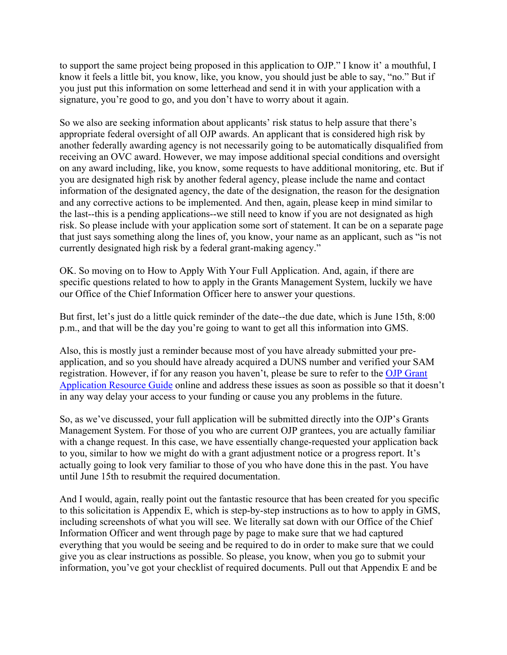to support the same project being proposed in this application to OJP." I know it' a mouthful, I know it feels a little bit, you know, like, you know, you should just be able to say, "no." But if you just put this information on some letterhead and send it in with your application with a signature, you're good to go, and you don't have to worry about it again.

So we also are seeking information about applicants' risk status to help assure that there's appropriate federal oversight of all OJP awards. An applicant that is considered high risk by another federally awarding agency is not necessarily going to be automatically disqualified from receiving an OVC award. However, we may impose additional special conditions and oversight on any award including, like, you know, some requests to have additional monitoring, etc. But if you are designated high risk by another federal agency, please include the name and contact information of the designated agency, the date of the designation, the reason for the designation and any corrective actions to be implemented. And then, again, please keep in mind similar to the last--this is a pending applications--we still need to know if you are not designated as high risk. So please include with your application some sort of statement. It can be on a separate page that just says something along the lines of, you know, your name as an applicant, such as "is not currently designated high risk by a federal grant-making agency."

OK. So moving on to How to Apply With Your Full Application. And, again, if there are specific questions related to how to apply in the Grants Management System, luckily we have our Office of the Chief Information Officer here to answer your questions.

But first, let's just do a little quick reminder of the date--the due date, which is June 15th, 8:00 p.m., and that will be the day you're going to want to get all this information into GMS.

Also, this is mostly just a reminder because most of you have already submitted your preapplication, and so you should have already acquired a DUNS number and verified your SAM registration. However, if for any reason you haven't, please be sure to refer to the [OJP Grant](https://www.ojp.gov/funding/Apply/Resources/Grant-App-Resource-Guide.htm)  [Application Resource Guide](https://www.ojp.gov/funding/Apply/Resources/Grant-App-Resource-Guide.htm) online and address these issues as soon as possible so that it doesn't in any way delay your access to your funding or cause you any problems in the future.

So, as we've discussed, your full application will be submitted directly into the OJP's Grants Management System. For those of you who are current OJP grantees, you are actually familiar with a change request. In this case, we have essentially change-requested your application back to you, similar to how we might do with a grant adjustment notice or a progress report. It's actually going to look very familiar to those of you who have done this in the past. You have until June 15th to resubmit the required documentation.

And I would, again, really point out the fantastic resource that has been created for you specific to this solicitation is Appendix E, which is step-by-step instructions as to how to apply in GMS, including screenshots of what you will see. We literally sat down with our Office of the Chief Information Officer and went through page by page to make sure that we had captured everything that you would be seeing and be required to do in order to make sure that we could give you as clear instructions as possible. So please, you know, when you go to submit your information, you've got your checklist of required documents. Pull out that Appendix E and be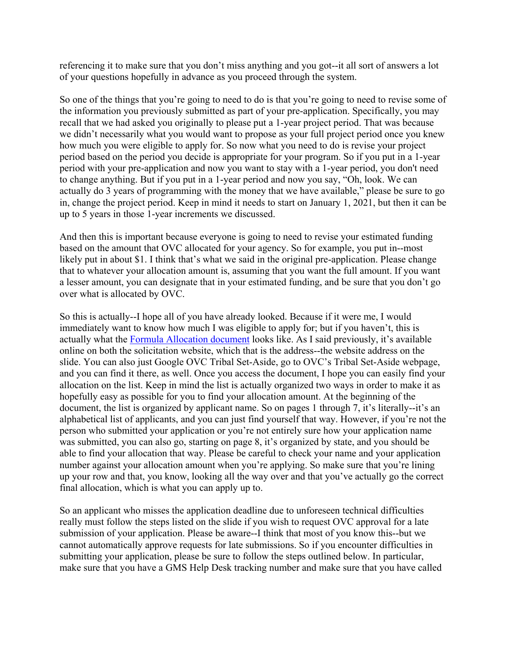referencing it to make sure that you don't miss anything and you got--it all sort of answers a lot of your questions hopefully in advance as you proceed through the system.

So one of the things that you're going to need to do is that you're going to need to revise some of the information you previously submitted as part of your pre-application. Specifically, you may recall that we had asked you originally to please put a 1-year project period. That was because we didn't necessarily what you would want to propose as your full project period once you knew how much you were eligible to apply for. So now what you need to do is revise your project period based on the period you decide is appropriate for your program. So if you put in a 1-year period with your pre-application and now you want to stay with a 1-year period, you don't need to change anything. But if you put in a 1-year period and now you say, "Oh, look. We can actually do 3 years of programming with the money that we have available," please be sure to go in, change the project period. Keep in mind it needs to start on January 1, 2021, but then it can be up to 5 years in those 1-year increments we discussed.

And then this is important because everyone is going to need to revise your estimated funding based on the amount that OVC allocated for your agency. So for example, you put in--most likely put in about \$1. I think that's what we said in the original pre-application. Please change that to whatever your allocation amount is, assuming that you want the full amount. If you want a lesser amount, you can designate that in your estimated funding, and be sure that you don't go over what is allocated by OVC.

So this is actually--I hope all of you have already looked. Because if it were me, I would immediately want to know how much I was eligible to apply for; but if you haven't, this is actually what the [Formula Allocation document](https://grants.ojp.usdoj.gov/TVSSA/) looks like. As I said previously, it's available online on both the solicitation website, which that is the address--the website address on the slide. You can also just Google OVC Tribal Set-Aside, go to OVC's Tribal Set-Aside webpage, and you can find it there, as well. Once you access the document, I hope you can easily find your allocation on the list. Keep in mind the list is actually organized two ways in order to make it as hopefully easy as possible for you to find your allocation amount. At the beginning of the document, the list is organized by applicant name. So on pages 1 through 7, it's literally--it's an alphabetical list of applicants, and you can just find yourself that way. However, if you're not the person who submitted your application or you're not entirely sure how your application name was submitted, you can also go, starting on page 8, it's organized by state, and you should be able to find your allocation that way. Please be careful to check your name and your application number against your allocation amount when you're applying. So make sure that you're lining up your row and that, you know, looking all the way over and that you've actually go the correct final allocation, which is what you can apply up to.

So an applicant who misses the application deadline due to unforeseen technical difficulties really must follow the steps listed on the slide if you wish to request OVC approval for a late submission of your application. Please be aware--I think that most of you know this--but we cannot automatically approve requests for late submissions. So if you encounter difficulties in submitting your application, please be sure to follow the steps outlined below. In particular, make sure that you have a GMS Help Desk tracking number and make sure that you have called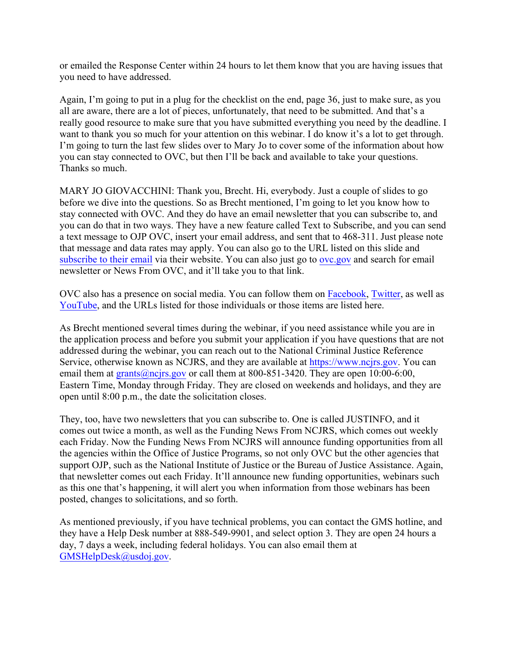or emailed the Response Center within 24 hours to let them know that you are having issues that you need to have addressed.

Again, I'm going to put in a plug for the checklist on the end, page 36, just to make sure, as you all are aware, there are a lot of pieces, unfortunately, that need to be submitted. And that's a really good resource to make sure that you have submitted everything you need by the deadline. I want to thank you so much for your attention on this webinar. I do know it's a lot to get through. I'm going to turn the last few slides over to Mary Jo to cover some of the information about how you can stay connected to OVC, but then I'll be back and available to take your questions. Thanks so much.

MARY JO GIOVACCHINI: Thank you, Brecht. Hi, everybody. Just a couple of slides to go before we dive into the questions. So as Brecht mentioned, I'm going to let you know how to stay connected with OVC. And they do have an email newsletter that you can subscribe to, and you can do that in two ways. They have a new feature called Text to Subscribe, and you can send a text message to OJP OVC, insert your email address, and sent that to 468-311. Just please note that message and data rates may apply. You can also go to the URL listed on this slide and [subscribe to](https://puborder.ncjrs.gov/Listervs/subscribe_newsfromovc.asp) their email via their website. You can also just go to ove.gov and search for email newsletter or News From OVC, and it'll take you to that link.

OVC also has a presence on social media. You can follow them on [Facebook,](https://www.facebook.com/OJPOVC) [Twitter,](https://twitter.com/OJPOVC) as well as [YouTube,](http://www.youtube.com/ojpovc) and the URLs listed for those individuals or those items are listed here.

As Brecht mentioned several times during the webinar, if you need assistance while you are in the application process and before you submit your application if you have questions that are not addressed during the webinar, you can reach out to the National Criminal Justice Reference Service, otherwise known as NCJRS, and they are available at [https://www.ncjrs.gov.](https://www.ncjrs.gov/) You can email them at grants @ncjrs.gov or call them at 800-851-3420. They are open 10:00-6:00, Eastern Time, Monday through Friday. They are closed on weekends and holidays, and they are open until 8:00 p.m., the date the solicitation closes.

They, too, have two newsletters that you can subscribe to. One is called JUSTINFO, and it comes out twice a month, as well as the Funding News From NCJRS, which comes out weekly each Friday. Now the Funding News From NCJRS will announce funding opportunities from all the agencies within the Office of Justice Programs, so not only OVC but the other agencies that support OJP, such as the National Institute of Justice or the Bureau of Justice Assistance. Again, that newsletter comes out each Friday. It'll announce new funding opportunities, webinars such as this one that's happening, it will alert you when information from those webinars has been posted, changes to solicitations, and so forth.

As mentioned previously, if you have technical problems, you can contact the GMS hotline, and they have a Help Desk number at 888-549-9901, and select option 3. They are open 24 hours a day, 7 days a week, including federal holidays. You can also email them at [GMSHelpDesk@usdoj.gov.](mailto:GMSHelpDesk@usdoj.gov)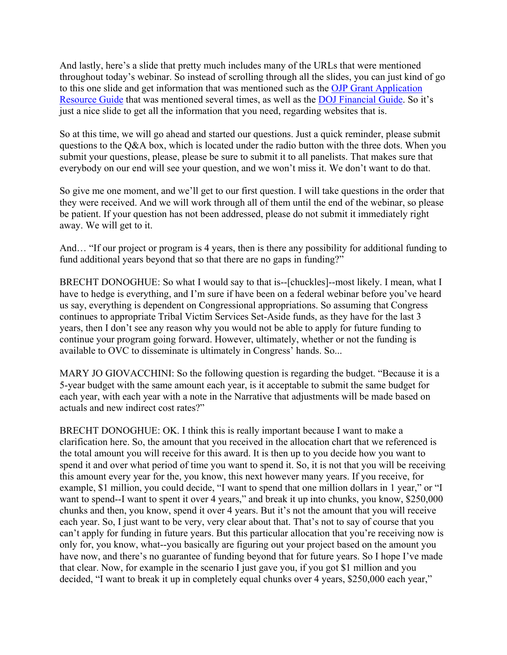And lastly, here's a slide that pretty much includes many of the URLs that were mentioned throughout today's webinar. So instead of scrolling through all the slides, you can just kind of go to this one slide and get information that was mentioned such as the [OJP Grant Application](https://www.ojp.gov/funding/Apply/Resources/Grant-App-Resource-Guide.htm)  [Resource Guide](https://www.ojp.gov/funding/Apply/Resources/Grant-App-Resource-Guide.htm) that was mentioned several times, as well as the [DOJ Financial Guide.](https://www.ojp.gov/funding/financialguidedoj/overview) So it's just a nice slide to get all the information that you need, regarding websites that is.

So at this time, we will go ahead and started our questions. Just a quick reminder, please submit questions to the Q&A box, which is located under the radio button with the three dots. When you submit your questions, please, please be sure to submit it to all panelists. That makes sure that everybody on our end will see your question, and we won't miss it. We don't want to do that.

So give me one moment, and we'll get to our first question. I will take questions in the order that they were received. And we will work through all of them until the end of the webinar, so please be patient. If your question has not been addressed, please do not submit it immediately right away. We will get to it.

And… "If our project or program is 4 years, then is there any possibility for additional funding to fund additional years beyond that so that there are no gaps in funding?"

BRECHT DONOGHUE: So what I would say to that is--[chuckles]--most likely. I mean, what I have to hedge is everything, and I'm sure if have been on a federal webinar before you've heard us say, everything is dependent on Congressional appropriations. So assuming that Congress continues to appropriate Tribal Victim Services Set-Aside funds, as they have for the last 3 years, then I don't see any reason why you would not be able to apply for future funding to continue your program going forward. However, ultimately, whether or not the funding is available to OVC to disseminate is ultimately in Congress' hands. So...

MARY JO GIOVACCHINI: So the following question is regarding the budget. "Because it is a 5-year budget with the same amount each year, is it acceptable to submit the same budget for each year, with each year with a note in the Narrative that adjustments will be made based on actuals and new indirect cost rates?"

BRECHT DONOGHUE: OK. I think this is really important because I want to make a clarification here. So, the amount that you received in the allocation chart that we referenced is the total amount you will receive for this award. It is then up to you decide how you want to spend it and over what period of time you want to spend it. So, it is not that you will be receiving this amount every year for the, you know, this next however many years. If you receive, for example, \$1 million, you could decide, "I want to spend that one million dollars in 1 year," or "I want to spend--I want to spent it over 4 years," and break it up into chunks, you know, \$250,000 chunks and then, you know, spend it over 4 years. But it's not the amount that you will receive each year. So, I just want to be very, very clear about that. That's not to say of course that you can't apply for funding in future years. But this particular allocation that you're receiving now is only for, you know, what--you basically are figuring out your project based on the amount you have now, and there's no guarantee of funding beyond that for future years. So I hope I've made that clear. Now, for example in the scenario I just gave you, if you got \$1 million and you decided, "I want to break it up in completely equal chunks over 4 years, \$250,000 each year,"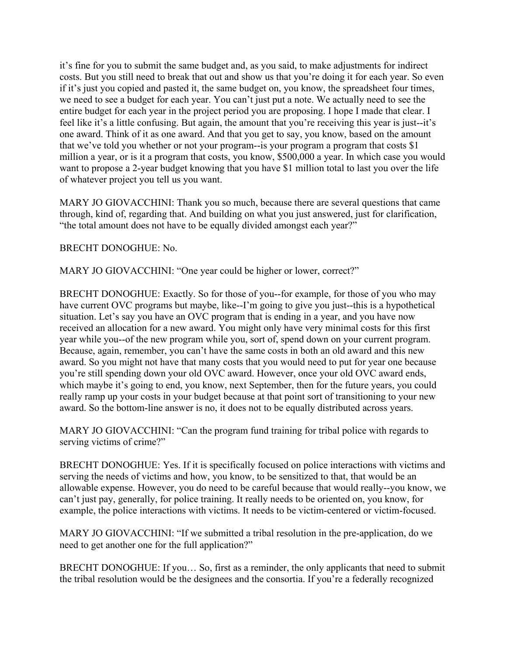it's fine for you to submit the same budget and, as you said, to make adjustments for indirect costs. But you still need to break that out and show us that you're doing it for each year. So even if it's just you copied and pasted it, the same budget on, you know, the spreadsheet four times, we need to see a budget for each year. You can't just put a note. We actually need to see the entire budget for each year in the project period you are proposing. I hope I made that clear. I feel like it's a little confusing. But again, the amount that you're receiving this year is just--it's one award. Think of it as one award. And that you get to say, you know, based on the amount that we've told you whether or not your program--is your program a program that costs \$1 million a year, or is it a program that costs, you know, \$500,000 a year. In which case you would want to propose a 2-year budget knowing that you have \$1 million total to last you over the life of whatever project you tell us you want.

MARY JO GIOVACCHINI: Thank you so much, because there are several questions that came through, kind of, regarding that. And building on what you just answered, just for clarification, "the total amount does not have to be equally divided amongst each year?"

## BRECHT DONOGHUE: No.

MARY JO GIOVACCHINI: "One year could be higher or lower, correct?"

BRECHT DONOGHUE: Exactly. So for those of you--for example, for those of you who may have current OVC programs but maybe, like--I'm going to give you just--this is a hypothetical situation. Let's say you have an OVC program that is ending in a year, and you have now received an allocation for a new award. You might only have very minimal costs for this first year while you--of the new program while you, sort of, spend down on your current program. Because, again, remember, you can't have the same costs in both an old award and this new award. So you might not have that many costs that you would need to put for year one because you're still spending down your old OVC award. However, once your old OVC award ends, which maybe it's going to end, you know, next September, then for the future years, you could really ramp up your costs in your budget because at that point sort of transitioning to your new award. So the bottom-line answer is no, it does not to be equally distributed across years.

MARY JO GIOVACCHINI: "Can the program fund training for tribal police with regards to serving victims of crime?"

BRECHT DONOGHUE: Yes. If it is specifically focused on police interactions with victims and serving the needs of victims and how, you know, to be sensitized to that, that would be an allowable expense. However, you do need to be careful because that would really--you know, we can't just pay, generally, for police training. It really needs to be oriented on, you know, for example, the police interactions with victims. It needs to be victim-centered or victim-focused.

MARY JO GIOVACCHINI: "If we submitted a tribal resolution in the pre-application, do we need to get another one for the full application?"

BRECHT DONOGHUE: If you… So, first as a reminder, the only applicants that need to submit the tribal resolution would be the designees and the consortia. If you're a federally recognized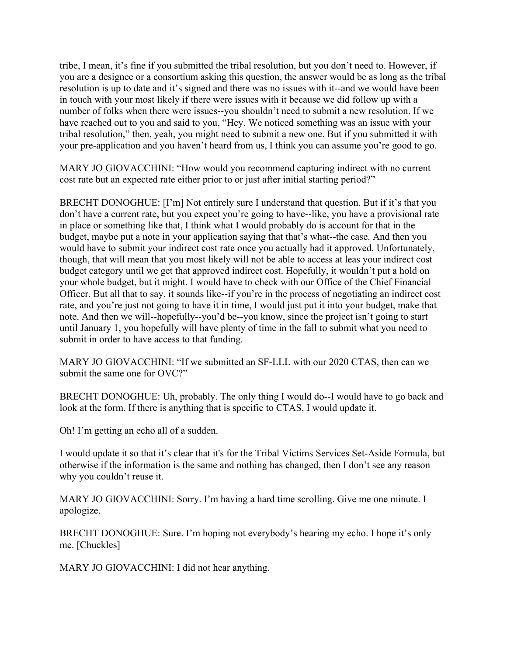tribe, I mean, it's fine if you submitted the tribal resolution, but you don't need to. However, if you are a designee or a consortium asking this question, the answer would be as long as the tribal resolution is up to date and it's signed and there was no issues with it--and we would have been in touch with your most likely if there were issues with it because we did follow up with a number of folks when there were issues--you shouldn't need to submit a new resolution. If we have reached out to you and said to you, "Hey. We noticed something was an issue with your tribal resolution," then, yeah, you might need to submit a new one. But if you submitted it with your pre-application and you haven't heard from us, I think you can assume you're good to go.

MARY JO GIOVACCHINI: "How would you recommend capturing indirect with no current cost rate but an expected rate either prior to or just after initial starting period?"

BRECHT DONOGHUE: [I'm] Not entirely sure I understand that question. But if it's that you don't have a current rate, but you expect you're going to have--like, you have a provisional rate in place or something like that, I think what I would probably do is account for that in the budget, maybe put a note in your application saying that that's what--the case. And then you would have to submit your indirect cost rate once you actually had it approved. Unfortunately, though, that will mean that you most likely will not be able to access at leas your indirect cost budget category until we get that approved indirect cost. Hopefully, it wouldn't put a hold on your whole budget, but it might. I would have to check with our Office of the Chief Financial Officer. But all that to say, it sounds like--if you're in the process of negotiating an indirect cost rate, and you're just not going to have it in time, I would just put it into your budget, make that note. And then we will--hopefully--you'd be--you know, since the project isn't going to start until January 1, you hopefully will have plenty of time in the fall to submit what you need to submit in order to have access to that funding.

MARY JO GIOVACCHINI: "If we submitted an SF-LLL with our 2020 CTAS, then can we submit the same one for OVC?"

BRECHT DONOGHUE: Uh, probably. The only thing I would do--I would have to go back and look at the form. If there is anything that is specific to CTAS, I would update it.

Oh! I'm getting an echo all of a sudden.

I would update it so that it's clear that it's for the Tribal Victims Services Set-Aside Formula, but otherwise if the information is the same and nothing has changed, then I don't see any reason why you couldn't reuse it.

MARY JO GIOVACCHINI: Sorry. I'm having a hard time scrolling. Give me one minute. I apologize.

BRECHT DONOGHUE: Sure. I'm hoping not everybody's hearing my echo. I hope it's only me. [Chuckles]

MARY JO GIOVACCHINI: I did not hear anything.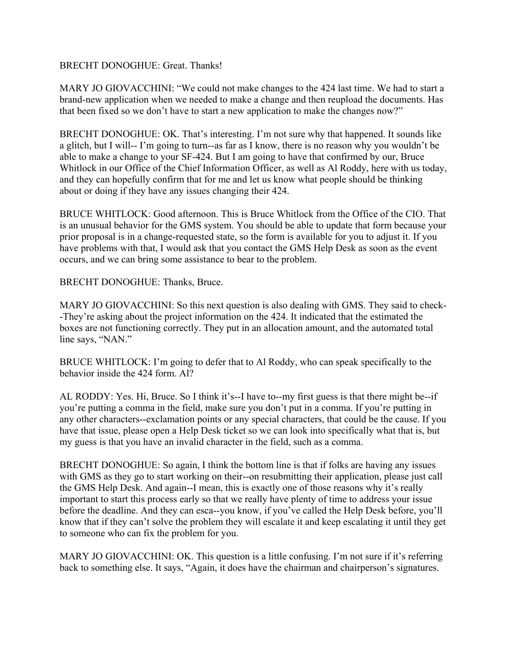## BRECHT DONOGHUE: Great. Thanks!

MARY JO GIOVACCHINI: "We could not make changes to the 424 last time. We had to start a brand-new application when we needed to make a change and then reupload the documents. Has that been fixed so we don't have to start a new application to make the changes now?"

BRECHT DONOGHUE: OK. That's interesting. I'm not sure why that happened. It sounds like a glitch, but I will-- I'm going to turn--as far as I know, there is no reason why you wouldn't be able to make a change to your SF-424. But I am going to have that confirmed by our, Bruce Whitlock in our Office of the Chief Information Officer, as well as Al Roddy, here with us today, and they can hopefully confirm that for me and let us know what people should be thinking about or doing if they have any issues changing their 424.

BRUCE WHITLOCK: Good afternoon. This is Bruce Whitlock from the Office of the CIO. That is an unusual behavior for the GMS system. You should be able to update that form because your prior proposal is in a change-requested state, so the form is available for you to adjust it. If you have problems with that, I would ask that you contact the GMS Help Desk as soon as the event occurs, and we can bring some assistance to bear to the problem.

BRECHT DONOGHUE: Thanks, Bruce.

MARY JO GIOVACCHINI: So this next question is also dealing with GMS. They said to check- -They're asking about the project information on the 424. It indicated that the estimated the boxes are not functioning correctly. They put in an allocation amount, and the automated total line says, "NAN."

BRUCE WHITLOCK: I'm going to defer that to Al Roddy, who can speak specifically to the behavior inside the 424 form. Al?

AL RODDY: Yes. Hi, Bruce. So I think it's--I have to--my first guess is that there might be--if you're putting a comma in the field, make sure you don't put in a comma. If you're putting in any other characters--exclamation points or any special characters, that could be the cause. If you have that issue, please open a Help Desk ticket so we can look into specifically what that is, but my guess is that you have an invalid character in the field, such as a comma.

BRECHT DONOGHUE: So again, I think the bottom line is that if folks are having any issues with GMS as they go to start working on their--on resubmitting their application, please just call the GMS Help Desk. And again--I mean, this is exactly one of those reasons why it's really important to start this process early so that we really have plenty of time to address your issue before the deadline. And they can esca--you know, if you've called the Help Desk before, you'll know that if they can't solve the problem they will escalate it and keep escalating it until they get to someone who can fix the problem for you.

MARY JO GIOVACCHINI: OK. This question is a little confusing. I'm not sure if it's referring back to something else. It says, "Again, it does have the chairman and chairperson's signatures.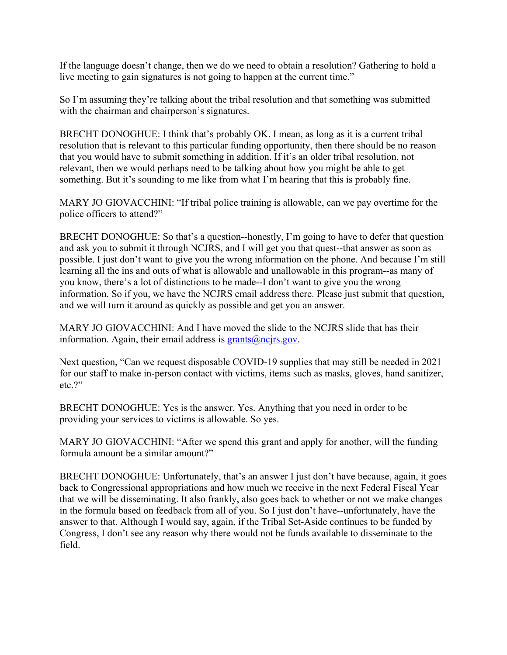If the language doesn't change, then we do we need to obtain a resolution? Gathering to hold a live meeting to gain signatures is not going to happen at the current time."

So I'm assuming they're talking about the tribal resolution and that something was submitted with the chairman and chairperson's signatures.

BRECHT DONOGHUE: I think that's probably OK. I mean, as long as it is a current tribal resolution that is relevant to this particular funding opportunity, then there should be no reason that you would have to submit something in addition. If it's an older tribal resolution, not relevant, then we would perhaps need to be talking about how you might be able to get something. But it's sounding to me like from what I'm hearing that this is probably fine.

MARY JO GIOVACCHINI: "If tribal police training is allowable, can we pay overtime for the police officers to attend?"

BRECHT DONOGHUE: So that's a question--honestly, I'm going to have to defer that question and ask you to submit it through NCJRS, and I will get you that quest--that answer as soon as possible. I just don't want to give you the wrong information on the phone. And because I'm still learning all the ins and outs of what is allowable and unallowable in this program--as many of you know, there's a lot of distinctions to be made--I don't want to give you the wrong information. So if you, we have the NCJRS email address there. Please just submit that question, and we will turn it around as quickly as possible and get you an answer.

MARY JO GIOVACCHINI: And I have moved the slide to the NCJRS slide that has their information. Again, their email address is  $grants@ncirs.gov$ .

Next question, "Can we request disposable COVID-19 supplies that may still be needed in 2021 for our staff to make in-person contact with victims, items such as masks, gloves, hand sanitizer, etc.?"

BRECHT DONOGHUE: Yes is the answer. Yes. Anything that you need in order to be providing your services to victims is allowable. So yes.

MARY JO GIOVACCHINI: "After we spend this grant and apply for another, will the funding formula amount be a similar amount?"

BRECHT DONOGHUE: Unfortunately, that's an answer I just don't have because, again, it goes back to Congressional appropriations and how much we receive in the next Federal Fiscal Year that we will be disseminating. It also frankly, also goes back to whether or not we make changes in the formula based on feedback from all of you. So I just don't have--unfortunately, have the answer to that. Although I would say, again, if the Tribal Set-Aside continues to be funded by Congress, I don't see any reason why there would not be funds available to disseminate to the field.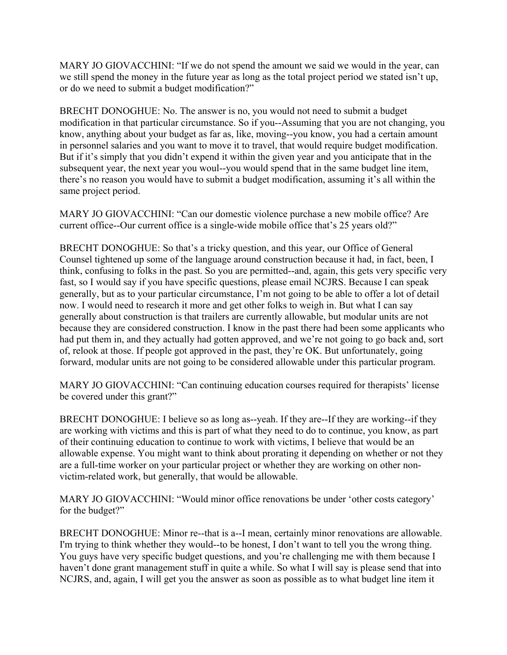MARY JO GIOVACCHINI: "If we do not spend the amount we said we would in the year, can we still spend the money in the future year as long as the total project period we stated isn't up, or do we need to submit a budget modification?"

BRECHT DONOGHUE: No. The answer is no, you would not need to submit a budget modification in that particular circumstance. So if you--Assuming that you are not changing, you know, anything about your budget as far as, like, moving--you know, you had a certain amount in personnel salaries and you want to move it to travel, that would require budget modification. But if it's simply that you didn't expend it within the given year and you anticipate that in the subsequent year, the next year you woul--you would spend that in the same budget line item, there's no reason you would have to submit a budget modification, assuming it's all within the same project period.

MARY JO GIOVACCHINI: "Can our domestic violence purchase a new mobile office? Are current office--Our current office is a single-wide mobile office that's 25 years old?"

BRECHT DONOGHUE: So that's a tricky question, and this year, our Office of General Counsel tightened up some of the language around construction because it had, in fact, been, I think, confusing to folks in the past. So you are permitted--and, again, this gets very specific very fast, so I would say if you have specific questions, please email NCJRS. Because I can speak generally, but as to your particular circumstance, I'm not going to be able to offer a lot of detail now. I would need to research it more and get other folks to weigh in. But what I can say generally about construction is that trailers are currently allowable, but modular units are not because they are considered construction. I know in the past there had been some applicants who had put them in, and they actually had gotten approved, and we're not going to go back and, sort of, relook at those. If people got approved in the past, they're OK. But unfortunately, going forward, modular units are not going to be considered allowable under this particular program.

MARY JO GIOVACCHINI: "Can continuing education courses required for therapists' license be covered under this grant?"

BRECHT DONOGHUE: I believe so as long as--yeah. If they are--If they are working--if they are working with victims and this is part of what they need to do to continue, you know, as part of their continuing education to continue to work with victims, I believe that would be an allowable expense. You might want to think about prorating it depending on whether or not they are a full-time worker on your particular project or whether they are working on other nonvictim-related work, but generally, that would be allowable.

MARY JO GIOVACCHINI: "Would minor office renovations be under 'other costs category' for the budget?"

BRECHT DONOGHUE: Minor re--that is a--I mean, certainly minor renovations are allowable. I'm trying to think whether they would--to be honest, I don't want to tell you the wrong thing. You guys have very specific budget questions, and you're challenging me with them because I haven't done grant management stuff in quite a while. So what I will say is please send that into NCJRS, and, again, I will get you the answer as soon as possible as to what budget line item it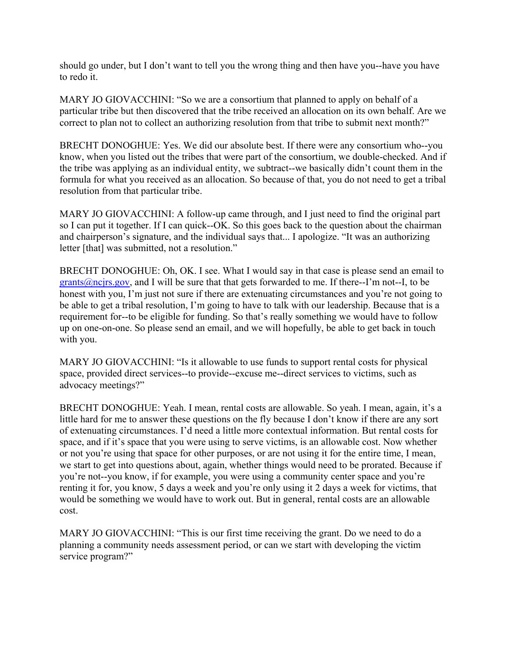should go under, but I don't want to tell you the wrong thing and then have you--have you have to redo it.

MARY JO GIOVACCHINI: "So we are a consortium that planned to apply on behalf of a particular tribe but then discovered that the tribe received an allocation on its own behalf. Are we correct to plan not to collect an authorizing resolution from that tribe to submit next month?"

BRECHT DONOGHUE: Yes. We did our absolute best. If there were any consortium who--you know, when you listed out the tribes that were part of the consortium, we double-checked. And if the tribe was applying as an individual entity, we subtract--we basically didn't count them in the formula for what you received as an allocation. So because of that, you do not need to get a tribal resolution from that particular tribe.

MARY JO GIOVACCHINI: A follow-up came through, and I just need to find the original part so I can put it together. If I can quick--OK. So this goes back to the question about the chairman and chairperson's signature, and the individual says that... I apologize. "It was an authorizing letter [that] was submitted, not a resolution."

BRECHT DONOGHUE: Oh, OK. I see. What I would say in that case is please send an email to grants  $@ncirs.gov$ , and I will be sure that that gets forwarded to me. If there--I'm not--I, to be honest with you, I'm just not sure if there are extenuating circumstances and you're not going to be able to get a tribal resolution, I'm going to have to talk with our leadership. Because that is a requirement for--to be eligible for funding. So that's really something we would have to follow up on one-on-one. So please send an email, and we will hopefully, be able to get back in touch with you.

MARY JO GIOVACCHINI: "Is it allowable to use funds to support rental costs for physical space, provided direct services--to provide--excuse me--direct services to victims, such as advocacy meetings?"

BRECHT DONOGHUE: Yeah. I mean, rental costs are allowable. So yeah. I mean, again, it's a little hard for me to answer these questions on the fly because I don't know if there are any sort of extenuating circumstances. I'd need a little more contextual information. But rental costs for space, and if it's space that you were using to serve victims, is an allowable cost. Now whether or not you're using that space for other purposes, or are not using it for the entire time, I mean, we start to get into questions about, again, whether things would need to be prorated. Because if you're not--you know, if for example, you were using a community center space and you're renting it for, you know, 5 days a week and you're only using it 2 days a week for victims, that would be something we would have to work out. But in general, rental costs are an allowable cost.

MARY JO GIOVACCHINI: "This is our first time receiving the grant. Do we need to do a planning a community needs assessment period, or can we start with developing the victim service program?"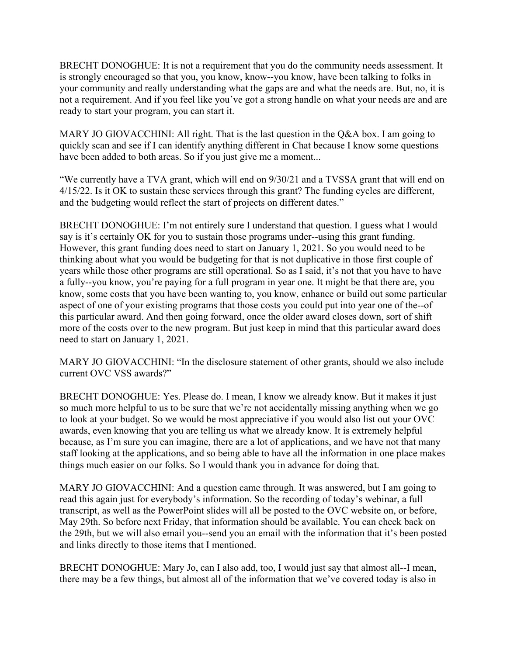BRECHT DONOGHUE: It is not a requirement that you do the community needs assessment. It is strongly encouraged so that you, you know, know--you know, have been talking to folks in your community and really understanding what the gaps are and what the needs are. But, no, it is not a requirement. And if you feel like you've got a strong handle on what your needs are and are ready to start your program, you can start it.

MARY JO GIOVACCHINI: All right. That is the last question in the Q&A box. I am going to quickly scan and see if I can identify anything different in Chat because I know some questions have been added to both areas. So if you just give me a moment...

"We currently have a TVA grant, which will end on 9/30/21 and a TVSSA grant that will end on 4/15/22. Is it OK to sustain these services through this grant? The funding cycles are different, and the budgeting would reflect the start of projects on different dates."

BRECHT DONOGHUE: I'm not entirely sure I understand that question. I guess what I would say is it's certainly OK for you to sustain those programs under--using this grant funding. However, this grant funding does need to start on January 1, 2021. So you would need to be thinking about what you would be budgeting for that is not duplicative in those first couple of years while those other programs are still operational. So as I said, it's not that you have to have a fully--you know, you're paying for a full program in year one. It might be that there are, you know, some costs that you have been wanting to, you know, enhance or build out some particular aspect of one of your existing programs that those costs you could put into year one of the--of this particular award. And then going forward, once the older award closes down, sort of shift more of the costs over to the new program. But just keep in mind that this particular award does need to start on January 1, 2021.

MARY JO GIOVACCHINI: "In the disclosure statement of other grants, should we also include current OVC VSS awards?"

BRECHT DONOGHUE: Yes. Please do. I mean, I know we already know. But it makes it just so much more helpful to us to be sure that we're not accidentally missing anything when we go to look at your budget. So we would be most appreciative if you would also list out your OVC awards, even knowing that you are telling us what we already know. It is extremely helpful because, as I'm sure you can imagine, there are a lot of applications, and we have not that many staff looking at the applications, and so being able to have all the information in one place makes things much easier on our folks. So I would thank you in advance for doing that.

MARY JO GIOVACCHINI: And a question came through. It was answered, but I am going to read this again just for everybody's information. So the recording of today's webinar, a full transcript, as well as the PowerPoint slides will all be posted to the OVC website on, or before, May 29th. So before next Friday, that information should be available. You can check back on the 29th, but we will also email you--send you an email with the information that it's been posted and links directly to those items that I mentioned.

BRECHT DONOGHUE: Mary Jo, can I also add, too, I would just say that almost all--I mean, there may be a few things, but almost all of the information that we've covered today is also in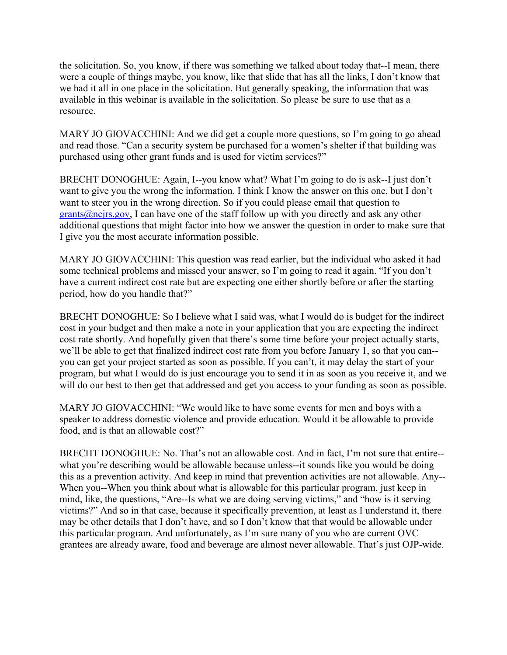the solicitation. So, you know, if there was something we talked about today that--I mean, there were a couple of things maybe, you know, like that slide that has all the links, I don't know that we had it all in one place in the solicitation. But generally speaking, the information that was available in this webinar is available in the solicitation. So please be sure to use that as a resource.

MARY JO GIOVACCHINI: And we did get a couple more questions, so I'm going to go ahead and read those. "Can a security system be purchased for a women's shelter if that building was purchased using other grant funds and is used for victim services?"

BRECHT DONOGHUE: Again, I--you know what? What I'm going to do is ask--I just don't want to give you the wrong the information. I think I know the answer on this one, but I don't want to steer you in the wrong direction. So if you could please email that question to  $grants@ncirs.gov$ , I can have one of the staff follow up with you directly and ask any other additional questions that might factor into how we answer the question in order to make sure that I give you the most accurate information possible.

MARY JO GIOVACCHINI: This question was read earlier, but the individual who asked it had some technical problems and missed your answer, so I'm going to read it again. "If you don't have a current indirect cost rate but are expecting one either shortly before or after the starting period, how do you handle that?"

BRECHT DONOGHUE: So I believe what I said was, what I would do is budget for the indirect cost in your budget and then make a note in your application that you are expecting the indirect cost rate shortly. And hopefully given that there's some time before your project actually starts, we'll be able to get that finalized indirect cost rate from you before January 1, so that you can- you can get your project started as soon as possible. If you can't, it may delay the start of your program, but what I would do is just encourage you to send it in as soon as you receive it, and we will do our best to then get that addressed and get you access to your funding as soon as possible.

MARY JO GIOVACCHINI: "We would like to have some events for men and boys with a speaker to address domestic violence and provide education. Would it be allowable to provide food, and is that an allowable cost?"

BRECHT DONOGHUE: No. That's not an allowable cost. And in fact, I'm not sure that entire- what you're describing would be allowable because unless--it sounds like you would be doing this as a prevention activity. And keep in mind that prevention activities are not allowable. Any-- When you--When you think about what is allowable for this particular program, just keep in mind, like, the questions, "Are--Is what we are doing serving victims," and "how is it serving victims?" And so in that case, because it specifically prevention, at least as I understand it, there may be other details that I don't have, and so I don't know that that would be allowable under this particular program. And unfortunately, as I'm sure many of you who are current OVC grantees are already aware, food and beverage are almost never allowable. That's just OJP-wide.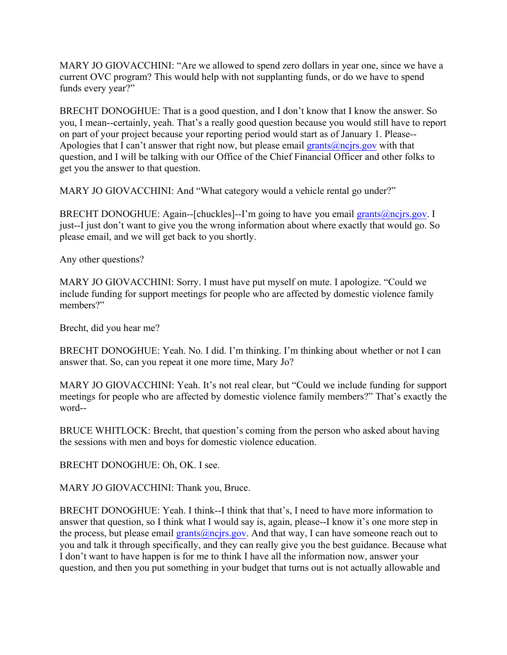MARY JO GIOVACCHINI: "Are we allowed to spend zero dollars in year one, since we have a current OVC program? This would help with not supplanting funds, or do we have to spend funds every year?"

BRECHT DONOGHUE: That is a good question, and I don't know that I know the answer. So you, I mean--certainly, yeah. That's a really good question because you would still have to report on part of your project because your reporting period would start as of January 1. Please-- Apologies that I can't answer that right now, but please email grants  $@ncirs.gov$  with that question, and I will be talking with our Office of the Chief Financial Officer and other folks to get you the answer to that question.

MARY JO GIOVACCHINI: And "What category would a vehicle rental go under?"

BRECHT DONOGHUE: Again--[chuckles]--I'm going to have you email [grants@ncjrs.gov.](mailto:grants@ncjrs.gov) I just--I just don't want to give you the wrong information about where exactly that would go. So please email, and we will get back to you shortly.

Any other questions?

MARY JO GIOVACCHINI: Sorry. I must have put myself on mute. I apologize. "Could we include funding for support meetings for people who are affected by domestic violence family members?"

Brecht, did you hear me?

BRECHT DONOGHUE: Yeah. No. I did. I'm thinking. I'm thinking about whether or not I can answer that. So, can you repeat it one more time, Mary Jo?

MARY JO GIOVACCHINI: Yeah. It's not real clear, but "Could we include funding for support meetings for people who are affected by domestic violence family members?" That's exactly the word--

BRUCE WHITLOCK: Brecht, that question's coming from the person who asked about having the sessions with men and boys for domestic violence education.

BRECHT DONOGHUE: Oh, OK. I see.

MARY JO GIOVACCHINI: Thank you, Bruce.

BRECHT DONOGHUE: Yeah. I think--I think that that's, I need to have more information to answer that question, so I think what I would say is, again, please--I know it's one more step in the process, but please email [grants@ncjrs.gov.](mailto:grants@ncjrs.gov) And that way, I can have someone reach out to you and talk it through specifically, and they can really give you the best guidance. Because what I don't want to have happen is for me to think I have all the information now, answer your question, and then you put something in your budget that turns out is not actually allowable and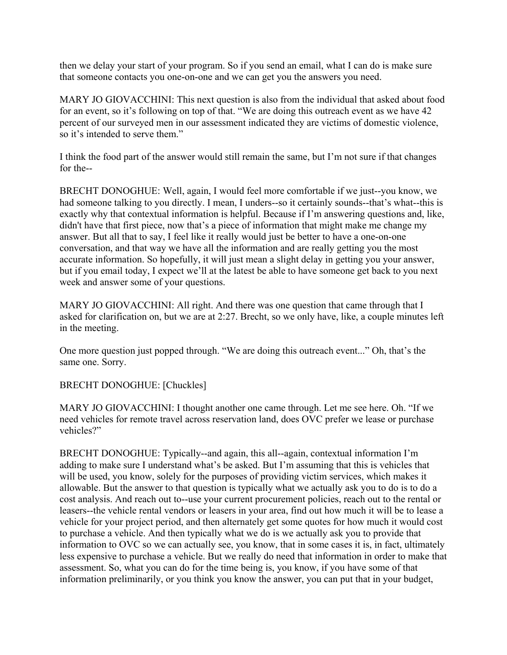then we delay your start of your program. So if you send an email, what I can do is make sure that someone contacts you one-on-one and we can get you the answers you need.

MARY JO GIOVACCHINI: This next question is also from the individual that asked about food for an event, so it's following on top of that. "We are doing this outreach event as we have 42 percent of our surveyed men in our assessment indicated they are victims of domestic violence, so it's intended to serve them."

I think the food part of the answer would still remain the same, but I'm not sure if that changes for the--

BRECHT DONOGHUE: Well, again, I would feel more comfortable if we just--you know, we had someone talking to you directly. I mean, I unders--so it certainly sounds--that's what--this is exactly why that contextual information is helpful. Because if I'm answering questions and, like, didn't have that first piece, now that's a piece of information that might make me change my answer. But all that to say, I feel like it really would just be better to have a one-on-one conversation, and that way we have all the information and are really getting you the most accurate information. So hopefully, it will just mean a slight delay in getting you your answer, but if you email today, I expect we'll at the latest be able to have someone get back to you next week and answer some of your questions.

MARY JO GIOVACCHINI: All right. And there was one question that came through that I asked for clarification on, but we are at 2:27. Brecht, so we only have, like, a couple minutes left in the meeting.

One more question just popped through. "We are doing this outreach event..." Oh, that's the same one. Sorry.

BRECHT DONOGHUE: [Chuckles]

MARY JO GIOVACCHINI: I thought another one came through. Let me see here. Oh. "If we need vehicles for remote travel across reservation land, does OVC prefer we lease or purchase vehicles?"

BRECHT DONOGHUE: Typically--and again, this all--again, contextual information I'm adding to make sure I understand what's be asked. But I'm assuming that this is vehicles that will be used, you know, solely for the purposes of providing victim services, which makes it allowable. But the answer to that question is typically what we actually ask you to do is to do a cost analysis. And reach out to--use your current procurement policies, reach out to the rental or leasers--the vehicle rental vendors or leasers in your area, find out how much it will be to lease a vehicle for your project period, and then alternately get some quotes for how much it would cost to purchase a vehicle. And then typically what we do is we actually ask you to provide that information to OVC so we can actually see, you know, that in some cases it is, in fact, ultimately less expensive to purchase a vehicle. But we really do need that information in order to make that assessment. So, what you can do for the time being is, you know, if you have some of that information preliminarily, or you think you know the answer, you can put that in your budget,